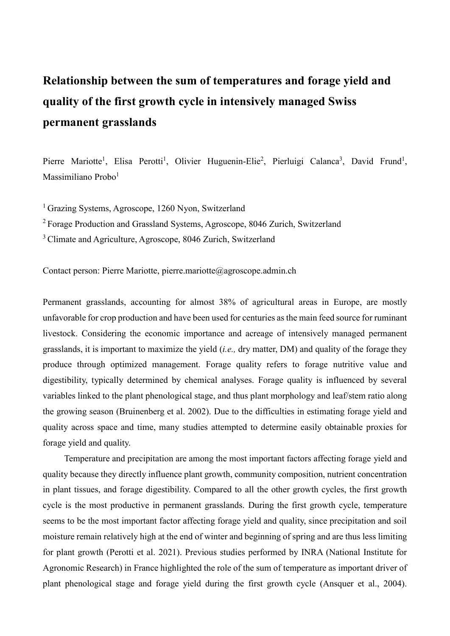## **Relationship between the sum of temperatures and forage yield and quality of the first growth cycle in intensively managed Swiss permanent grasslands**

Pierre Mariotte<sup>1</sup>, Elisa Perotti<sup>1</sup>, Olivier Huguenin-Elie<sup>2</sup>, Pierluigi Calanca<sup>3</sup>, David Frund<sup>1</sup>, Massimiliano Probo $<sup>1</sup>$ </sup>

<sup>1</sup> Grazing Systems, Agroscope, 1260 Nyon, Switzerland

<sup>2</sup>Forage Production and Grassland Systems, Agroscope, 8046 Zurich, Switzerland

<sup>3</sup> Climate and Agriculture, Agroscope, 8046 Zurich, Switzerland

Contact person: Pierre Mariotte, pierre.mariotte@agroscope.admin.ch

Permanent grasslands, accounting for almost 38% of agricultural areas in Europe, are mostly unfavorable for crop production and have been used for centuries as the main feed source for ruminant livestock. Considering the economic importance and acreage of intensively managed permanent grasslands, it is important to maximize the yield (*i.e.,* dry matter, DM) and quality of the forage they produce through optimized management. Forage quality refers to forage nutritive value and digestibility, typically determined by chemical analyses. Forage quality is influenced by several variables linked to the plant phenological stage, and thus plant morphology and leaf/stem ratio along the growing season (Bruinenberg et al. 2002). Due to the difficulties in estimating forage yield and quality across space and time, many studies attempted to determine easily obtainable proxies for forage yield and quality.

Temperature and precipitation are among the most important factors affecting forage yield and quality because they directly influence plant growth, community composition, nutrient concentration in plant tissues, and forage digestibility. Compared to all the other growth cycles, the first growth cycle is the most productive in permanent grasslands. During the first growth cycle, temperature seems to be the most important factor affecting forage yield and quality, since precipitation and soil moisture remain relatively high at the end of winter and beginning of spring and are thus less limiting for plant growth (Perotti et al. 2021). Previous studies performed by INRA (National Institute for Agronomic Research) in France highlighted the role of the sum of temperature as important driver of plant phenological stage and forage yield during the first growth cycle (Ansquer et al., 2004).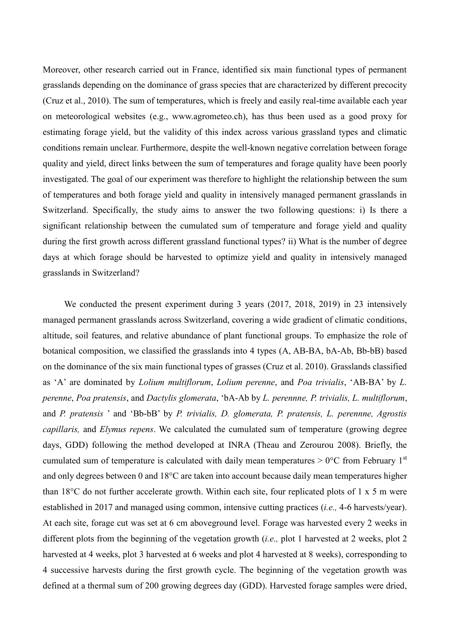Moreover, other research carried out in France, identified six main functional types of permanent grasslands depending on the dominance of grass species that are characterized by different precocity (Cruz et al., 2010). The sum of temperatures, which is freely and easily real-time available each year on meteorological websites (e.g., www.agrometeo.ch), has thus been used as a good proxy for estimating forage yield, but the validity of this index across various grassland types and climatic conditions remain unclear. Furthermore, despite the well-known negative correlation between forage quality and yield, direct links between the sum of temperatures and forage quality have been poorly investigated. The goal of our experiment was therefore to highlight the relationship between the sum of temperatures and both forage yield and quality in intensively managed permanent grasslands in Switzerland. Specifically, the study aims to answer the two following questions: i) Is there a significant relationship between the cumulated sum of temperature and forage yield and quality during the first growth across different grassland functional types? ii) What is the number of degree days at which forage should be harvested to optimize yield and quality in intensively managed grasslands in Switzerland?

We conducted the present experiment during 3 years (2017, 2018, 2019) in 23 intensively managed permanent grasslands across Switzerland, covering a wide gradient of climatic conditions, altitude, soil features, and relative abundance of plant functional groups. To emphasize the role of botanical composition, we classified the grasslands into 4 types (A, AB-BA, bA-Ab, Bb-bB) based on the dominance of the six main functional types of grasses (Cruz et al. 2010). Grasslands classified as 'A' are dominated by *Lolium multiflorum*, *Lolium perenne*, and *Poa trivialis*, 'AB-BA' by *L. perenne*, *Poa pratensis*, and *Dactylis glomerata*, 'bA-Ab by *L. perennne, P. trivialis, L. multiflorum*, and *P. pratensis* ' and 'Bb-bB' by *P. trivialis, D. glomerata, P. pratensis, L. perennne, Agrostis capillaris,* and *Elymus repens*. We calculated the cumulated sum of temperature (growing degree days, GDD) following the method developed at INRA (Theau and Zerourou 2008). Briefly, the cumulated sum of temperature is calculated with daily mean temperatures  $> 0^{\circ}$ C from February 1st and only degrees between 0 and 18°C are taken into account because daily mean temperatures higher than 18°C do not further accelerate growth. Within each site, four replicated plots of 1 x 5 m were established in 2017 and managed using common, intensive cutting practices (*i.e.,* 4-6 harvests/year). At each site, forage cut was set at 6 cm aboveground level. Forage was harvested every 2 weeks in different plots from the beginning of the vegetation growth (*i.e.,* plot 1 harvested at 2 weeks, plot 2 harvested at 4 weeks, plot 3 harvested at 6 weeks and plot 4 harvested at 8 weeks), corresponding to 4 successive harvests during the first growth cycle. The beginning of the vegetation growth was defined at a thermal sum of 200 growing degrees day (GDD). Harvested forage samples were dried,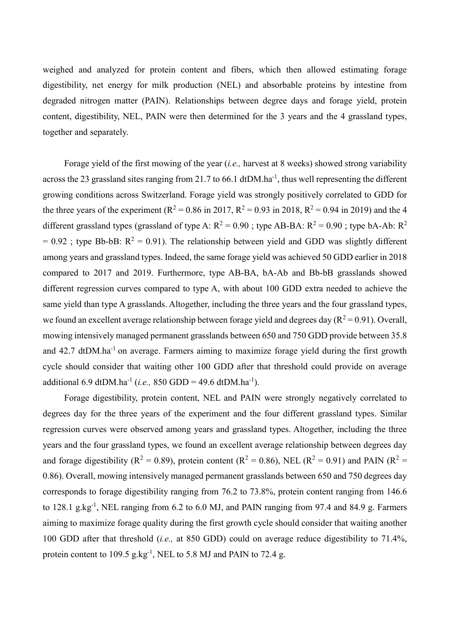weighed and analyzed for protein content and fibers, which then allowed estimating forage digestibility, net energy for milk production (NEL) and absorbable proteins by intestine from degraded nitrogen matter (PAIN). Relationships between degree days and forage yield, protein content, digestibility, NEL, PAIN were then determined for the 3 years and the 4 grassland types, together and separately.

Forage yield of the first mowing of the year (*i.e.,* harvest at 8 weeks) showed strong variability across the 23 grassland sites ranging from 21.7 to 66.1 dtDM.ha<sup>-1</sup>, thus well representing the different growing conditions across Switzerland. Forage yield was strongly positively correlated to GDD for the three years of the experiment ( $R^2 = 0.86$  in 2017,  $R^2 = 0.93$  in 2018,  $R^2 = 0.94$  in 2019) and the 4 different grassland types (grassland of type A:  $R^2 = 0.90$ ; type AB-BA:  $R^2 = 0.90$ ; type bA-Ab:  $R^2$  $= 0.92$ ; type Bb-bB:  $R^2 = 0.91$ ). The relationship between yield and GDD was slightly different among years and grassland types. Indeed, the same forage yield was achieved 50 GDD earlier in 2018 compared to 2017 and 2019. Furthermore, type AB-BA, bA-Ab and Bb-bB grasslands showed different regression curves compared to type A, with about 100 GDD extra needed to achieve the same yield than type A grasslands. Altogether, including the three years and the four grassland types, we found an excellent average relationship between forage yield and degrees day ( $R^2 = 0.91$ ). Overall, mowing intensively managed permanent grasslands between 650 and 750 GDD provide between 35.8 and 42.7 dtDM.ha<sup>-1</sup> on average. Farmers aiming to maximize forage yield during the first growth cycle should consider that waiting other 100 GDD after that threshold could provide on average additional  $6.9 \text{ dtDM}$ .ha<sup>-1</sup> (*i.e.*,  $850 \text{ GDD} = 49.6 \text{ dtDM}$ .ha<sup>-1</sup>).

Forage digestibility, protein content, NEL and PAIN were strongly negatively correlated to degrees day for the three years of the experiment and the four different grassland types. Similar regression curves were observed among years and grassland types. Altogether, including the three years and the four grassland types, we found an excellent average relationship between degrees day and forage digestibility ( $R^2 = 0.89$ ), protein content ( $R^2 = 0.86$ ), NEL ( $R^2 = 0.91$ ) and PAIN ( $R^2 = 0.91$ ) 0.86). Overall, mowing intensively managed permanent grasslands between 650 and 750 degrees day corresponds to forage digestibility ranging from 76.2 to 73.8%, protein content ranging from 146.6 to  $128.1$  g.kg<sup>-1</sup>, NEL ranging from 6.2 to 6.0 MJ, and PAIN ranging from 97.4 and 84.9 g. Farmers aiming to maximize forage quality during the first growth cycle should consider that waiting another 100 GDD after that threshold (*i.e.,* at 850 GDD) could on average reduce digestibility to 71.4%, protein content to  $109.5$   $g.kg^{-1}$ , NEL to 5.8 MJ and PAIN to 72.4  $g$ .